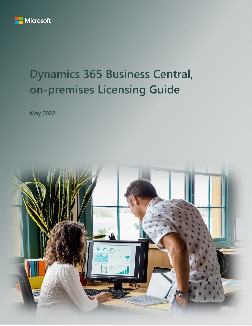

# **Dynamics 365 Business Central, on-premises Licensing Guide**

**May 2022**

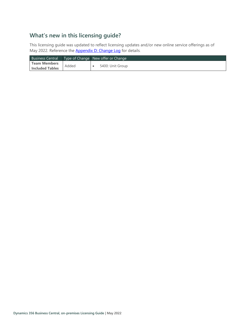# **What's new in this licensing guide?**

This licensing guide was updated to reflect licensing updates and/or new online service offerings as of May 2022. Reference the [Appendix D: Change Log](#page-19-0) for details.

|                        |       | Business Central   Type of Change   New offer or Change |
|------------------------|-------|---------------------------------------------------------|
| Team Members           | Added |                                                         |
| <b>Included Tables</b> |       | 5400: Unit Group                                        |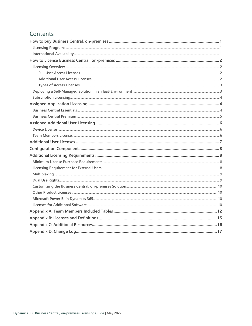## Contents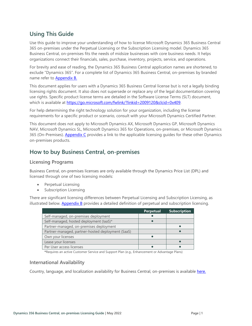### **Using This Guide**

Use this guide to improve your understanding of how to license Microsoft Dynamics 365 Business Central 365 on-premises under the Perpetual Licensing or the Subscription Licensing model. Dynamics 365 Business Central, on-premises fits the needs of midsize businesses with core business needs. It helps organizations connect their financials, sales, purchase, inventory, projects, service, and operations.

For brevity and ease of reading, the Dynamics 365 Business Central application names are shortened, to exclude "Dynamics 365". For a complete list of Dynamics 365 Business Central, on-premises by branded name refer to [Appendix B.](#page-17-0)

This document applies for users with a Dynamics 365 Business Central license but is not a legally binding licensing rights document. It also does not supersede or replace any of the legal documentation covering use rights. Specific product license terms are detailed in the Software License Terms (SLT) document, which is available at<https://go.microsoft.com/fwlink/?linkid=2009120&clcid=0x409>.

For help determining the right technology solution for your organization, including the license requirements for a specific product or scenario, consult with your Microsoft Dynamics Certified Partner.

This document does not apply to Microsoft Dynamics AX, Microsoft Dynamics GP, Microsoft Dynamics NAV, Microsoft Dynamics SL, Microsoft Dynamics 365 for Operations, on-premises, or Microsoft Dynamics 365 (On-Premises). [Appendix C](#page-18-0) provides a link to the applicable licensing guides for these other Dynamics on-premises products.

### <span id="page-3-0"></span>**How to buy Business Central, on-premises**

#### <span id="page-3-1"></span>**Licensing Programs**

Business Central, on-premises licenses are only available through the Dynamics Price List (DPL) and licensed through one of two licensing models:

- Perpetual Licensing
- Subscription Licensing

There are significant licensing differences between Perpetual Licensing and Subscription Licensing, as illustrated below. **[Appendix B](#page-17-0)** provides a detailed definition of perpetual and subscription licensing.

|                                                   | <b>Perpetual</b> | <b>Subscription</b> |
|---------------------------------------------------|------------------|---------------------|
| Self-managed, on-premises deployment              |                  |                     |
| Self-managed, hosted deployment (laaS)*           |                  |                     |
| Partner-managed, on-premises deployment           |                  |                     |
| Partner-managed, partner-hosted deployment (SaaS) |                  |                     |
| Own your licenses                                 |                  |                     |
| Lease your licenses                               |                  |                     |
| Per User access licenses                          |                  |                     |

**\***Requires an active Customer Service and Support Plan (e.g., Enhancement or Advantage Plans)

#### <span id="page-3-2"></span>**International Availability**

Country, language, and localization availability for Business Central, on-premises is available [here.](https://docs.microsoft.com/dynamics365/business-central/dev-itpro/compliance/apptest-countries-and-translations#planned-future-availability)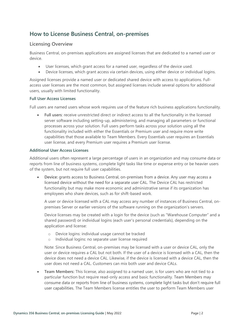### <span id="page-4-0"></span>**How to License Business Central, on-premises**

#### <span id="page-4-1"></span>**Licensing Overview**

Business Central, on-premises applications are assigned licenses that are dedicated to a named user or device.

- User licenses, which grant access for a named user, regardless of the device used.
- Device licenses, which grant access via certain devices, using either device or individual logins.

Assigned licenses provide a named user or dedicated shared device with access to applications. Fullaccess user licenses are the most common, but assigned licenses include several options for additional users, usually with limited functionality.

#### <span id="page-4-2"></span>**Full User Access Licenses**

Full users are named users whose work requires use of the feature rich business applications functionality.

• **Full users**: receive unrestricted direct or indirect access to all the functionality in the licensed server software including setting-up, administering, and managing all parameters or functional processes across your solution. Full users perform tasks across your solution using all the functionality included with either the Essentials or Premium user and require more write capabilities that those available to Team Members. Every Essentials user requires an Essentials user license, and every Premium user requires a Premium user license.

#### <span id="page-4-3"></span>**Additional User Access Licenses**

Additional users often represent a large percentage of users in an organization and may consume data or reports from line of business systems, complete light tasks like time or expense entry or be heavier users of the system, but not require full user capabilities.

• **Device:** grants access to Business Central, on-premises from a device. Any user may access a licensed device without the need for a separate user CAL. The Device CAL has restricted functionality but may make more economic and administrative sense if its organization has employees who share devices, such as for shift-based work.

A user or device licensed with a CAL may access any number of instances of Business Central, onpremises Server or earlier versions of the software running on the organization's servers.

Device licenses may be created with a login for the device (such as "Warehouse Computer" and a shared password) or individual logins (each user's personal credentials), depending on the application and license:

- o Device logins: individual usage cannot be tracked
- o Individual logins: no separate user license required

Note: Since Business Central, on-premises may be licensed with a user or device CAL, only the user or device requires a CAL but not both. If the user of a device is licensed with a CAL, then the device does not need a device CAL. Likewise, if the device is licensed with a device CAL, then the user does not need a CAL. Customers can mix both user and device CALs.

• **Team Members:** This license, also assigned to a named user, is for users who are not tied to a particular function but require read-only access and basic functionality. Team Members may consume data or reports from line of business systems, complete light tasks but don't require full user capabilities. The Team Members license entitles the user to perform Team Members user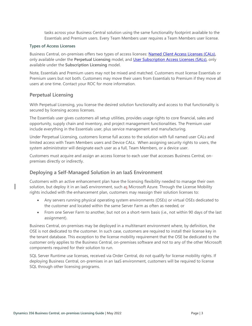tasks across your Business Central solution using the same functionality footprint available to the Essentials and Premium users. Every Team Members user requires a Team Members user license.

#### <span id="page-5-0"></span>**Types of Access Licenses**

Business Central, on-premises offers two types of access licenses: [Named Client Access Licenses \(CALs\)](#page-17-1)**,** only available under the **Perpetual Licensing** model, and [User Subscription Access Licenses \(SALs\)](#page-17-2)**,** only available under the **Subscription Licensing** model.

Note, Essentials and Premium users may not be mixed and matched. Customers must license Essentials or Premium users but not both. Customers may move their users from Essentials to Premium if they move all users at one time. Contact your ROC for more information.

#### **Perpetual Licensing**

With Perpetual Licensing, you license the desired solution functionality and access to that functionality is secured by licensing access licenses.

The Essentials user gives customers all setup utilities, provides usage rights to core financial, sales and opportunity, supply chain and inventory, and project management functionalities. The Premium user include everything in the Essentials user, plus service management and manufacturing.

Under Perpetual Licensing, customers license full access to the solution with full named user CALs and limited access with Team Members users and Device CALs. When assigning security rights to users, the system administrator will designate each user as a full, Team Members, or a device user.

Customers must acquire and assign an access license to each user that accesses Business Central, onpremises directly or indirectly.

#### <span id="page-5-1"></span>**Deploying a Self-Managed Solution in an IaaS Environment**

Customers with an active enhancement plan have the licensing flexibility needed to manage their own solution, but deploy it in an IaaS environment, such as Microsoft Azure. Through the License Mobility rights included with the enhancement plan, customers may reassign their solution licenses to:

- Any servers running physical operating system environments (OSEs) or virtual OSEs dedicated to the customer and located within the same Server Farm as often as needed, or
- From one Server Farm to another, but not on a short-term basis (i.e., not within 90 days of the last assignment).

Business Central, on-premises may be deployed in a multitenant environment where, by definition, the OSE is not dedicated to the customer. In such case, customers are required to install their license key in the tenant database. This exception to the license mobility requirement that the OSE be dedicated to the customer only applies to the Business Central, on-premises software and not to any of the other Microsoft components required for their solution to run.

SQL Server Runtime use licenses, received via Order Central, do not qualify for license mobility rights. If deploying Business Central, on-premises in an IaaS environment, customers will be required to license SQL through other licensing programs.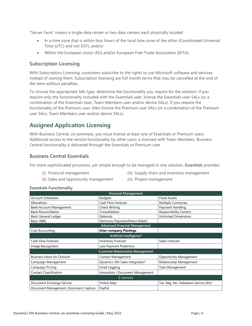"Server Farm" means a single data center or two data centers each physically located:

- In a time zone that is within four hours of the local time zone of the other (Coordinated Universal Time (UTC) and not DST), and/or
- Within the European Union (EU) and/or European Free Trade Association (EFTA).

#### <span id="page-6-0"></span>**Subscription Licensing**

With Subscription Licensing, customers subscribe to the rights to use Microsoft software and services instead of owning them. Subscription licensing are full month terms that may be cancelled at the end of the term without penalties.

To choose the appropriate SAL type, determine the functionality you require for the solution. If you require only the functionality included with the Essentials user, license the Essentials user SALs (or a combination of the Essentials User, Team Members user and/or device SALs). If you require the functionality of the Premium user, then license the Premium user SALs (or a combination of the Premium user SALs, Team Members user and/or device SALs).

### <span id="page-6-1"></span>**Assigned Application Licensing**

With Business Central, on-premises, you must license at least one of Essentials or Premium users. Additional access to the service functionality by other users is licensed with Team Members. Business Central functionality is delivered through the Essentials or Premium user.

#### <span id="page-6-2"></span>**Business Central Essentials**

For more sophisticated processes, yet simple enough to be managed in one solution, **Essentials** provides:

(i) Financial management

- (iii) Supply chain and inventory management
- (ii) Sales and opportunity management
- (iv) Project management

#### **Essentials Functionality**

| <b>Financial Management</b>             |                                               |                                                    |  |  |  |
|-----------------------------------------|-----------------------------------------------|----------------------------------------------------|--|--|--|
| <b>Account Schedules</b>                | <b>Budgets</b>                                | <b>Fixed Assets</b>                                |  |  |  |
| Allocations                             | <b>Cash Flow Forecast</b>                     | <b>Multiple Currencies</b>                         |  |  |  |
| <b>Bank Account Management</b>          | <b>Check Writing</b>                          | Payment Handling                                   |  |  |  |
| <b>Bank Reconciliation</b>              | Consolidation                                 | <b>Responsibility Centers</b>                      |  |  |  |
| Basic General Ledger                    | Deferrals                                     | <b>Unlimited Dimensions</b>                        |  |  |  |
| <b>Basic XBRL</b>                       | Electronic Payment/Direct Debits <sup>1</sup> |                                                    |  |  |  |
|                                         | <b>Advanced Financial Management</b>          |                                                    |  |  |  |
| Cost Accounting                         | <b>Inter-company Postings</b>                 |                                                    |  |  |  |
|                                         | Artificial Intelligence <sup>2</sup>          |                                                    |  |  |  |
| Cash Flow Forecast                      | <b>Inventory Forecast</b>                     | Sales Forecast                                     |  |  |  |
| Image Recognition                       | Late Payment Prediction                       |                                                    |  |  |  |
| <b>Customer Relationship Management</b> |                                               |                                                    |  |  |  |
| <b>Business Inbox for Outlook</b>       | <b>Contact Management</b>                     | <b>Opportunity Management</b>                      |  |  |  |
| Campaign Management                     | Dynamics 365 Sales Integration <sup>3</sup>   | Relationship Management                            |  |  |  |
| Campaign Pricing                        | Email Logging                                 | <b>Task Management</b>                             |  |  |  |
| <b>Contact Classification</b>           | Interaction / Document Management             |                                                    |  |  |  |
| E-Services                              |                                               |                                                    |  |  |  |
| Document Exchange Service               | Online Map                                    | Tax. Reg. No. Validation Service (EU) <sup>1</sup> |  |  |  |
| Document Management, Document Capture   | PayPal                                        |                                                    |  |  |  |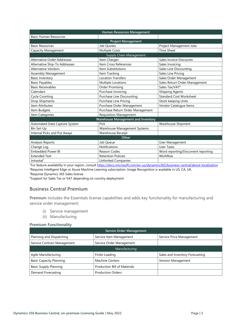| Human Resources Management    |                                           |                                   |  |  |  |
|-------------------------------|-------------------------------------------|-----------------------------------|--|--|--|
| <b>Basic Human Resources</b>  |                                           |                                   |  |  |  |
|                               | <b>Project Management</b>                 |                                   |  |  |  |
| <b>Basic Resources</b>        | Job Quotes                                | Project Management Jobs           |  |  |  |
| Capacity Management           | <b>Multiple Costs</b>                     | <b>Time Sheet</b>                 |  |  |  |
|                               | Supply Chain Management                   |                                   |  |  |  |
| Alternative Order Addresses   | Item Charges                              | Sales Invoice Discounts           |  |  |  |
| Alternative Ship-To Addresses | Item Cross References                     | Sales Invoicing                   |  |  |  |
| <b>Alternative Vendors</b>    | Item Substitutions                        | Sales Line Discounting            |  |  |  |
| Assembly Management           | Item Tracking                             | Sales Line Pricing                |  |  |  |
| <b>Basic Inventory</b>        | <b>Location Transfers</b>                 | Sales Order Management            |  |  |  |
| <b>Basic Payables</b>         | Multiple Locations                        | Sales Return Order Management     |  |  |  |
| <b>Basic Receivables</b>      | <b>Order Promising</b>                    | Sales Tax/VAT <sup>4</sup>        |  |  |  |
| Calendars                     | Purchase Invoicing                        | <b>Shipping Agents</b>            |  |  |  |
| <b>Cycle Counting</b>         | Purchase Line Discounting                 | <b>Standard Cost Worksheet</b>    |  |  |  |
| Drop Shipments                | Purchase Line Pricing                     | <b>Stock keeping Units</b>        |  |  |  |
| <b>Item Attributes</b>        | Purchase Order Management                 | Vendor Catalogue Items            |  |  |  |
| Item Budgets                  | Purchase Return Order Management          |                                   |  |  |  |
| Item Categories               | Requisition Management                    |                                   |  |  |  |
|                               | <b>Warehouse Management and Inventory</b> |                                   |  |  |  |
| Automated Data Capture System | Pick                                      | <b>Warehouse Shipment</b>         |  |  |  |
| Bin Set-Up                    | Warehouse Management Systems              |                                   |  |  |  |
| Internal Picks and Put Aways  | <b>Warehouse Receipt</b>                  |                                   |  |  |  |
|                               | Other                                     |                                   |  |  |  |
| <b>Analysis Reports</b>       | Job Queue                                 | User Management                   |  |  |  |
| Change Log                    | <b>Notifications</b>                      | <b>User Tasks</b>                 |  |  |  |
| <b>Embedded Power BI</b>      | Reason Codes                              | Word reporting/Document reporting |  |  |  |
| <b>Extended Text</b>          | <b>Retention Policies</b>                 | Workflow                          |  |  |  |
| Intractat <sup>1</sup>        | <b>Unlimited Companies</b>                |                                   |  |  |  |

<sup>1</sup>For feature availability in your region, consult [https://docs.microsoft.com/en-us/dynamics365/business-central/about-localization](https://nam06.safelinks.protection.outlook.com/?url=https%3A%2F%2Fdocs.microsoft.com%2Fen-us%2Fdynamics365%2Fbusiness-central%2Fabout-localization&data=02%7C01%7Cv-decaro%40microsoft.com%7Cd2aa8d6cb0e34d67535808d78553b2bd%7C72f988bf86f141af91ab2d7cd011db47%7C1%7C0%7C637124466836550525&sdata=Tm0JOsRi7vEuRnTf7u89WTXntgayOX7Iagr7mtzBHnA%3D&reserved=0) <sup>2</sup>Requires Intelligent Edge or Azure Machine Learning subscription. Image Recognition is available in US, CA, UK.

<sup>3</sup>Requires Dynamics 365 Sales license

<span id="page-7-0"></span><sup>4</sup>Support for Sales Tax or VAT depending on country deployment

#### **Business Central Premium**

**Premium** includes the Essentials license capabilities and adds key functionality for manufacturing and service order management:

- (i) Service management
- (ii) Manufacturing

#### **Premium Functionality**

| <b>Service Order Management</b> |                                     |                                 |  |  |
|---------------------------------|-------------------------------------|---------------------------------|--|--|
| Planning and Dispatching        | Service Item Management             | Service Price Management        |  |  |
| Service Contract Management     | Service Order Management            |                                 |  |  |
| Manufacturing                   |                                     |                                 |  |  |
| Agile Manufacturing             | Finite Loading                      | Sales and Inventory Forecasting |  |  |
| <b>Basic Capacity Planning</b>  | <b>Machine Centers</b>              | Version Management              |  |  |
| <b>Basic Supply Planning</b>    | <b>Production Bill of Materials</b> |                                 |  |  |
| <b>Demand Forecasting</b>       | <b>Production Orders</b>            |                                 |  |  |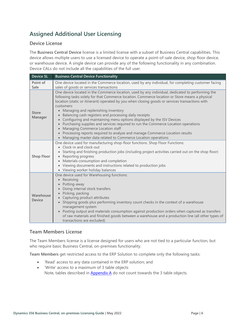# <span id="page-8-0"></span>**Assigned Additional User Licensing**

#### <span id="page-8-1"></span>**Device License**

The **Business Central Device** license is a limited license with a subset of Business Central capabilities. This device allows multiple users to use a licensed device to operate a point-of-sale device, shop floor device, or warehouse device. A single device can provide any of the following functionality in any combination. Device CALs do not include all the capabilities of the full user.

| <b>Device SL</b>           | <b>Business Central Device Functionality</b>                                                                                                                                                                                                                                                                                                                                                                                                                                                                                                                                                                                                                                                                                                                                                                   |
|----------------------------|----------------------------------------------------------------------------------------------------------------------------------------------------------------------------------------------------------------------------------------------------------------------------------------------------------------------------------------------------------------------------------------------------------------------------------------------------------------------------------------------------------------------------------------------------------------------------------------------------------------------------------------------------------------------------------------------------------------------------------------------------------------------------------------------------------------|
| Point of<br>Sale           | One device located in the Commerce location, used by any individual, for completing customer facing<br>sales of goods or services transactions                                                                                                                                                                                                                                                                                                                                                                                                                                                                                                                                                                                                                                                                 |
| <b>Store</b><br>Manager    | One device located in the Commerce location, used by any individual, dedicated to performing the<br>following tasks solely for that Commerce location. Commerce location or Store means a physical<br>location (static or itinerant) operated by you when closing goods or services transactions with<br>customers:<br>Managing and replenishing inventory<br>$\bullet$<br>Balancing cash registers and processing daily receipts<br>Configuring and maintaining menu options displayed by the ISV Devices<br>Purchasing supplies and services required to run the Commerce Location operations<br>Managing Commerce Location staff<br>$\bullet$<br>• Processing reports required to analyze and manage Commerce Location results<br>Managing master data related to Commerce Location operations<br>$\bullet$ |
| <b>Shop Floor</b>          | One device used for manufacturing shop-floor functions. Shop Floor Functions:<br>• Clock-in and clock-out<br>Starting and finishing production jobs (including project activities carried out on the shop floor)<br>Reporting progress<br>$\bullet$<br>• Materials consumption and completion<br>• Viewing documents and instructions related to production jobs<br>• Viewing worker holiday balances                                                                                                                                                                                                                                                                                                                                                                                                          |
| Warehouse<br><b>Device</b> | One device used for Warehousing functions:<br>• Receiving<br>Putting-away<br>Doing internal stock transfers<br>• Picking, packing<br>• Capturing product attributes<br>Shipping goods plus performing inventory count checks in the context of a warehouse<br>management system<br>Posting output and materials consumption against production orders when captured as transfers<br>$\bullet$<br>of raw materials and finished goods between a warehouse and a production line (all other types of<br>transactions are excluded)                                                                                                                                                                                                                                                                               |

#### <span id="page-8-2"></span>**Team Members License**

The Team Members license is a license designed for users who are not tied to a particular function, but who require basic Business Central, on-premises functionality.

**Team Members** get restricted access to the ERP Solution to complete only the following tasks:

- 'Read' access to any data contained in the ERP solution; and
- 'Write' access to a maximum of 3 table objects Note, tables described in  $\Delta$ ppendix  $\Delta$  do not count towards the 3 table objects.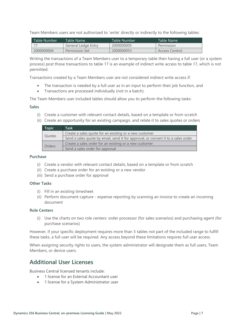Team Members users are not authorized to 'write' directly or indirectly to the following tables:

| l Table Number | Table Name          | Table Number | Table Name     |
|----------------|---------------------|--------------|----------------|
|                | General Ledge Entry | 2000000005   | Permission     |
| 2000000004     | Permission Set      | 2000000053   | Access Control |

Writing the transactions of a Team Members user to a temporary table then having a full user (or a system process) post those transactions to table 17 is an example of indirect write access to table 17, which is not permitted.

Transactions created by a Team Members user are not considered indirect write access if:

- The transaction is needed by a full user as in an input to perform their job function, and
- Transactions are processed individually (not in a batch).

The Team Members user included tables should allow you to perform the following tasks:

#### **Sales**

- (i) Create a customer with relevant contact details, based on a template or from scratch
- (ii) Create an opportunity for an existing campaign, and relate it to sales quotes or orders

| Topic  | Task                                                                              |
|--------|-----------------------------------------------------------------------------------|
| Quotes | Create a sales quote for an existing or a new customer                            |
|        | Send a sales quote by email, send it for approval, or convert it to a sales order |
| Orders | Create a sales order for an existing or a new customer                            |
|        | Send a sales order for approval                                                   |

#### **Purchase**

- (i) Create a vendor with relevant contact details, based on a template or from scratch
- (ii) Create a purchase order for an existing or a new vendor
- (iii) Send a purchase order for approval

#### **Other Tasks**

- (i) Fill in an existing timesheet
- (ii) Perform document capture expense reporting by scanning an invoice to create an incoming document

#### **Role Centers**

(i) Use the charts on two role centers: order processor (for sales scenarios) and purchasing agent (for purchase scenarios)

However, if your specific deployment requires more than 3 tables not part of the included range to fulfill these tasks, a full user will be required. Any access beyond these limitations requires full user access.

When assigning security rights to users, the system administrator will designate them as full users, Team Members, or device users.

### <span id="page-9-0"></span>**Additional User Licenses**

Business Central licensed tenants include:

- 1 license for an External Accountant user
- 1 license for a System Administrator user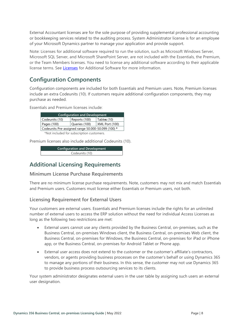External Accountant licenses are for the sole purpose of providing supplemental professional accounting or bookkeeping services related to the auditing process. System Administrator license is for an employee of your Microsoft Dynamics partner to manage your application and provide support.

Note: Licenses for additional software required to run the solution, such as Microsoft Windows Server, Microsoft SQL Server, and Microsoft SharePoint Server, are not included with the Essentials, the Premium, or the Team Members licenses. You need to license any additional software according to their applicable license terms. See [Licenses](https://www.microsoft.com/Licensing/how-to-buy/how-to-buy.aspx) for Additional Software for more information.

### <span id="page-10-0"></span>**Configuration Components**

Configuration components are included for both Essentials and Premium users. Note, Premium licenses include an extra Codeunits (10). If customers require additional configuration components, they may purchase as needed.

Essentials and Premium licenses include:

| <b>Configuration and Development</b>               |                |             |  |  |
|----------------------------------------------------|----------------|-------------|--|--|
| Codeunits (10)                                     | Reports (100)  | Tables (10) |  |  |
| Pages (100)                                        | XML Port (100) |             |  |  |
| Codeunits Pre-assigned range 50.000-50.099 (100) * |                |             |  |  |
| *Not included for subscription customers           |                |             |  |  |

\*Not included for subscription customers.

Premium licenses also include additional Codeunits (10).

**Configuration and Development** Codeunits (10)

### <span id="page-10-1"></span>**Additional Licensing Requirements**

#### <span id="page-10-2"></span>**Minimum License Purchase Requirements**

There are no minimum license purchase requirements. Note, customers may not mix and match Essentials and Premium users. Customers must license either Essentials or Premium users, not both.

#### <span id="page-10-3"></span>**Licensing Requirement for External Users**

Your customers are external users. Essentials and Premium licenses include the rights for an unlimited number of external users to access the ERP solution without the need for individual Access Licenses as long as the following two restrictions are met:

- External users cannot use any clients provided by the Business Central, on-premises, such as the Business Central, on-premises Windows client, the Business Central, on-premises Web client, the Business Central, on-premises for Windows, the Business Central, on-premises for iPad or iPhone app, or the Business Central, on-premises for Android Tablet or Phone app.
- External user access does not extend to the customer or the customer's affiliate's contractors, vendors, or agents providing business processes on the customer's behalf or using Dynamics 365 to manage any portions of their business. In this sense, the customer may not use Dynamics 365 to provide business process outsourcing services to its clients.

Your system administrator designates external users in the user table by assigning such users an external user designation.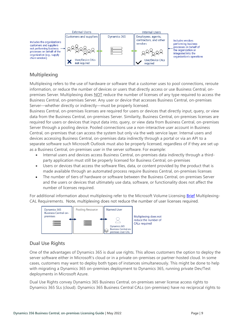

#### <span id="page-11-0"></span>**Multiplexing**

Multiplexing refers to the use of hardware or software that a customer uses to pool connections, reroute information, or reduce the number of devices or users that directly access or use Business Central, onpremises Server. Multiplexing does NOT reduce the number of licenses of any type required to access the Business Central, on-premises Server. Any user or device that accesses Business Central, on-premises Server—whether directly or indirectly—must be properly licensed.

Business Central, on-premises licenses are required for users or devices that directly input, query, or view data from the Business Central, on-premises Server. Similarity, Business Central, on-premises licenses are required for users or devices that input data into, query, or view data from Business Central, on-premises Server through a pooling device. Pooled connections use a non-interactive user account in Business Central, on-premises that can access the system but only via the web service layer. Internal users and devices accessing Business Central, on-premises data indirectly through a portal or via an API to a separate software such Microsoft Outlook must also be properly licensed, regardless of if they are set up as a Business Central, on-premises user in the server software. For example:

- Internal users and devices access Business Central, on-premises data indirectly through a thirdparty application must still be properly licensed for Business Central, on-premises
- Users or devices that access the software files, data, or content provided by the product that is made available through an automated process require Business Central, on-premises licenses
- The number of tiers of hardware or software between the Business Central, on-premises Server and the users or devices that ultimately use data, software, or functionality does not affect the number of licenses required.

For additional information about multiplexing refer to the Microsoft Volume Licensing **Brief** Multiplexing-CAL Requirements. Note, multiplexing does not reduce the number of user licenses required.



#### <span id="page-11-1"></span>**Dual Use Rights**

One of the advantages of Dynamics 365 is dual use rights. This allows customers the option to deploy the server software either in Microsoft's cloud or in a private on-premises or partner-hosted cloud. In some cases, customers may want to deploy both types of instances simultaneously. This might be done to help with migrating a Dynamics 365 on-premises deployment to Dynamics 365, running private Dev/Test deployments in Microsoft Azure.

Dual Use Rights convey Dynamics 365 Business Central, on-premises server license access rights to Dynamics 365 SLs (cloud). Dynamics 365 Business Central CALs (on-premises) have no reciprocal rights to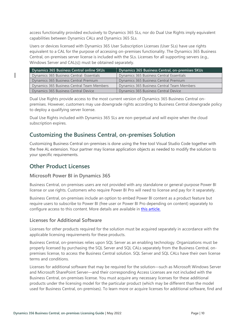access functionality provided exclusively to Dynamics 365 SLs, nor do Dual Use Rights imply equivalent capabilities between Dynamics CALs and Dynamics 365 SLs.

Users or devices licensed with Dynamics 365 User Subscription Licenses (User SLs) have use rights equivalent to a CAL for the purpose of accessing on-premises functionality. The Dynamics 365 Business Central, on-premises server license is included with the SLs. Licenses for all supporting servers (e.g., Windows Server and CAL(s)) must be obtained separately.

| Dynamics 365 Business Central online SKUs  | Dynamics 365 Business Central, on-premises SKUs |  |  |
|--------------------------------------------|-------------------------------------------------|--|--|
| Dynamics 365 Business Central- Essentials  | Dynamics 365 Business Central Essentials        |  |  |
| Dynamics 365 Business Central Premium      | Dynamics 365 Business Central Premium           |  |  |
| Dynamics 365 Business Central Team Members | Dynamics 365 Business Central Team Members      |  |  |
| Dynamics 365 Business Central Device       | Dynamics 365 Business Central Device            |  |  |

Dual Use Rights provide access to the most current version of Dynamics 365 Business Central onpremises. However, customers may use downgrade rights according to Business Central downgrade policy to deploy a qualifying server license.

Dual Use Rights included with Dynamics 365 SLs are non-perpetual and will expire when the cloud subscription expires.

### <span id="page-12-0"></span>**Customizing the Business Central, on-premises Solution**

Customizing Business Central on-premises is done using the free tool Visual Studio Code together with the free AL extension. Your partner may license application objects as needed to modify the solution to your specific requirements.

### <span id="page-12-1"></span>**Other Product Licenses**

#### <span id="page-12-2"></span>**Microsoft Power BI in Dynamics 365**

Business Central, on-premises users are not provided with any standalone or general-purpose Power BI license or use rights. Customers who require Power BI Pro will need to license and pay for it separately.

Business Central, on-premises include an option to embed Power BI content as a product feature but require users to subscribe to Power BI (free user or Power BI Pro depending on content) separately to configure access to this content. More details are available in [this article.](https://technet.microsoft.com/library/dn708055.aspx)

#### <span id="page-12-3"></span>**Licenses for Additional Software**

Licenses for other products required for the solution must be acquired separately in accordance with the applicable licensing requirements for these products.

Business Central, on-premises relies upon SQL Server as an enabling technology. Organizations must be properly licensed by purchasing the SQL Server and SQL CALs separately from the Business Central, onpremises license, to access the Business Central solution. SQL Server and SQL CALs have their own license terms and conditions.

Licenses for additional software that may be required for the solution—such as Microsoft Windows Server and Microsoft SharePoint Server—and their corresponding Access Licenses are not included with the Business Central, on-premises license. You must acquire any necessary licenses for these additional products under the licensing model for the particular product (which may be different than the model used for Business Central, on-premises). To learn more or acquire licenses for additional software, find and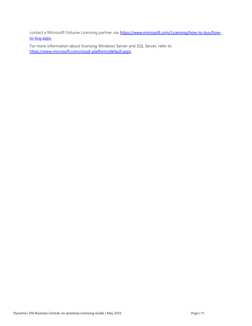contact a Microsoft Volume Licensing partner via: [https://www.microsoft.com/Licensing/how-to-buy/how](https://www.microsoft.com/Licensing/how-to-buy/how-to-buy.aspx)[to-buy.aspx.](https://www.microsoft.com/Licensing/how-to-buy/how-to-buy.aspx) 

For more information about licensing Windows Server and SQL Server, refer to [https://www.microsoft.com/cloud-platform/default.aspx.](https://www.microsoft.com/cloud-platform/default.aspx)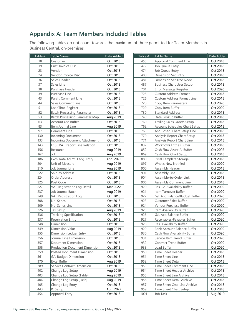### <span id="page-14-0"></span>**Appendix A: Team Members Included Tables**

The following tables do not count towards the maximum of three permitted for Team Members in Business Central, on-premises.

| Table # | Table Name                            | Date Added | Table # | Table Name                           | Date Added |
|---------|---------------------------------------|------------|---------|--------------------------------------|------------|
| 18      | Customer                              | Oct 2018   | 455     | Approval Comment Line                | Oct 2018   |
| 19      | Cust. Invoice Disc.                   | Oct 2018   | 472     | Job Queue Entry                      | Oct 2018   |
| 23      | Vendor                                | Oct 2018   | 474     | Job Queue Entry                      | Oct 2018   |
| 24      | Vendor Invoice Disc.                  | Oct 2018   | 480     | Dimension Set Entry                  | Oct 2018   |
| 36      | Sales Header                          | Oct 2018   | 481     | Dimension Set Tree Node              | Oct 2018   |
| 37      | Sales Line                            | Oct 2018   | 487     | <b>Business Chart User Setup</b>     | Oct 2018   |
| 38      | Purchase Header                       | Oct 2018   | 701     | Error Message Register               | Oct 2020   |
| 39      | Purchase Line                         | Oct 2018   | 725     | <b>Custom Address Format</b>         | Oct 2018   |
| 43      | Purch. Comment Line                   | Oct 2018   | 726     | Custom Address Format Line           | Oct 2018   |
| 44      | Sales Comment Line                    | Oct 2018   | 728     | Copy Item Parameters                 | Oct 2020   |
| 51      | User Time Register                    | Oct 2018   | 729     | Copy Item Buffer                     | Oct 2020   |
| 52      | <b>Batch Processing Parameter</b>     | Oct 2018   | 730     | <b>Standard Address</b>              | Oct 2018   |
| 53      | <b>Batch Processing Parameter Map</b> | Aug 2019   | 749     | Date Lookup Buffer                   | Oct 2018   |
| 63      | Account Use Buffer                    | Oct 2018   | 760     | <b>Trailing Sales Orders Setup</b>   | Oct 2018   |
| 83      | Item Journal Line                     | Aug 2019   | 762     | <b>Account Schedules Chart Setup</b> | Oct 2018   |
| 97      | Comment Line                          | Oct 2018   | 763     | Acc. Sched. Chart Setup Line         | Oct 2018   |
| 130     | <b>Incoming Document</b>              | Oct 2018   | 770     | Analysis Report Chart Setup          | Oct 2018   |
| 133     | Incoming Document Attachment          | Oct 2018   | 771     | Analysis Report Chart Line           | Oct 2018   |
| 143     | <b>ECSL VAT Report Line Relation</b>  | Oct 2018   | 832     | Workflows Entries Buffer             | Oct 2018   |
| 156     | Resource                              | Aug 2019   | 852     | Cash Flow Azure Al Buffer            | Oct 2002   |
| 167     | Job                                   | Aug 2019   | 869     | Cash Flow Chart Setup                | Oct 2018   |
| 186     | Exch. Rate Adjmt. Ledg. Entry         | April 2022 | 880     | Excel Template Storage               | Oct 2018   |
| 204     | Unit of Measure                       | Aug 2019   | 897     | What's New Notified                  | Oct 2020   |
| 210     | Job Journal Line                      | Aug 2019   | 900     | Assembly Header                      | Oct 2018   |
| 222     | Ship-to Address                       | Oct 2018   | 901     | Assembly Line                        | Oct 2018   |
| 224     | Order Address                         | Oct 2018   | 904     | Assemble-to-Order Link               | Oct 2018   |
| 225     | Post Code                             | Oct 2018   | 906     | <b>Assembly Comment Line</b>         | Oct 2018   |
| 227     | VAT Registration Log Detail           | Mar 2022   | 920     | Res. Gr. Availability Buffer         | Oct 2020   |
| 237     | Job Journal Batch                     | Aug 2019   | 921     | Item Turnover Buffer                 | Oct 2020   |
| 249     | VAT Registration Log                  | Oct 2018   | 922     | G/L Acc. Balance/Budget Buffer       | Oct 2020   |
| 308     | No. Series                            | Oct 2018   | 923     | <b>Customer Sales Buffer</b>         | Oct 2020   |
| 309     | No. Series Line                       | Oct 2018   | 924     | Vendor Purchase Buffer               | Oct 2020   |
| 326     | <b>Tax Setup</b>                      | Aug 2019   | 925     | Item Availability Buffer             | Oct 2020   |
| 336     | <b>Tracking Specification</b>         | Oct 2018   | 926     | G/L Acc. Balance Buffer              | Oct 2020   |
| 337     | <b>Reservation Entry</b>              | Oct 2018   | 927     | Receivables-Payables Buffer          | Oct 2020   |
| 348     | Dimension                             | Oct 2018   | 928     | Res. Availability Buffer             | Oct 2020   |
| 349     | <b>Dimension Value</b>                | Aug 2019   | 929     | <b>Bank Account Balance Buffer</b>   | Oct 2020   |
| 355     | Dimension Ledger Entry                | Oct 2018   | 930     | Cash Flow Availability Buffer        | Oct 2020   |
| 356     | Journal Line Dimension                | Oct 2018   | 931     | Service Item Trend Buffer            | Oct 2020   |
| 357     | Document Dimension                    | Oct 2018   | 932     | Contract Trend Buffer                | Oct 2020   |
| 358     | <b>Production Document Dimension</b>  | Oct 2018   | 933     | Load Buffer                          | Oct 2020   |
| 359     | Posted Document Dimension             | Oct 2018   | 950     | Time Sheet Header                    | Oct 2018   |
| 361     | G/L Budget Dimension                  | Oct 2018   | 951     | Time Sheet Line                      | Oct 2018   |
| 370     | Excel Buffer                          | Aug 2019   | 952     | <b>Time Sheet Detail</b>             | Oct 2018   |
| 389     | Service Contract Dimension            | Oct 2018   | 953     | Time Sheet Comment Line              | Oct 2018   |
| 402     | Change Log Setup                      | Aug 2019   | 954     | Time Sheet Header Archive            | Oct 2018   |
| 403     | Change Log Setup (Table)              | Aug 2019   | 955     | Time Sheet Line Archive              | Oct 2018   |
| 404     | Change Log Setup (Field)              | Aug 2019   | 956     | Time Sheet Detail Archive            | Oct 2018   |
| 405     | Change Log Entry                      | Oct 2018   | 957     | Time Sheet Cmt. Line Archive         | Oct 2018   |
| 443     | IC Setup                              | April 2022 | 959     | Time Sheet Chart Setup               | Oct 2018   |
| 454     | Approval Entry                        | Oct 2018   | 1001    | Job Task                             | Aug 2019   |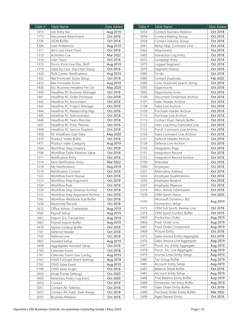| Table # | Table Name                           | Date Added |
|---------|--------------------------------------|------------|
| 1015    | Job Entry No.                        | Aug 2019   |
| 1173    | Document Attachment                  | Oct 2018   |
| 1236    | JSON Buffer                          | Oct 2018   |
| 1306    | <b>User Preference</b>               | Aug 2019   |
| 1311    | Mini Last Used Chart                 | Oct 2018   |
| 1313    | <b>Activities Cue</b>                | Mar 2022   |
| 1314    | <b>User Tours</b>                    | Oct 2018   |
| 1315    | Purch. Price Line Disc. Buff.        | Aug 2019   |
| 1319    | Sales by Cust. Grp.Chart Setup       | Oct 2018   |
| 1430    | <b>Role Center Notifications</b>     | Aug 2019   |
| 1432    | Net Promoter Score Setup             | Oct 2018   |
| 1433    | Net Promoter Score                   | Aug 2019   |
| 1436    | Ess. Business Headline Per Usr       | May 2020   |
| 1440    | Headline RC Business Manager         | Oct 2018   |
| 1441    | Headline RC Order Processor          | Oct 2018   |
| 1442    | Headline RC Accountant               | Oct 2018   |
| 1443    | Headline RC Project Manager          | Oct 2018   |
| 1444    | Headline RC Relationship Mgt         | Oct 2018   |
| 1445    | Headline RC Administrator            | Oct 2018   |
| 1446    | Headline RC Team Member              | Oct 2018   |
| 1447    | Headline RC Prod. Planner            | Oct 2018   |
| 1448    | Headline RC Service Dispatch         | Oct 2018   |
| 1458    | <b>RC Headlines User Data</b>        | May 2020   |
| 1470    | Product Video Buffer                 | Oct 2018   |
| 1471    | Product video Category               | Aug 2019   |
| 1504    | Workflow Step Instance               | Oct 2018   |
| 1506    | <b>Workflow Table Relation Value</b> | Oct 2018   |
| 1511    | Notification Entry                   | Oct 2018   |
| 1514    | Sent Notification Entry              | Mar 2022   |
| 1518    | My Notifications                     | Aug 2019   |
| 1519    | <b>Notification Context</b>          | Oct 2018   |
| 1522    |                                      |            |
|         | Workflow Event Queue                 | Oct 2018   |
| 1523    | Workflow Step Argument               | Oct 2018   |
| 1524    | <b>Workflow Rule</b>                 | Oct 2018   |
| 1530    | Workflow Step Instance Archive       | Oct 2018   |
| 1531    | Workflow Step Argument Archive       | Oct 2018   |
| 1542    | Workflow Webhook Sub Buffer          | Oct 2018   |
| 1550    | Restricted Record                    | Oct 2018   |
| 1612    | Office Admin, Credentials            | Aug 2019   |
| 1660    | Payroll Setup                        | Aug 2019   |
| 1661    | Import G/L Transaction               | Aug 2019   |
| 1662    | Payroll Import Buffer                | Aug 2019   |
| 1670    | Option Lookup Buffer                 | Oct 2018   |
| 1701    | Deferral Header                      | Oct 2018   |
| 1702    | Deferral Line                        | Oct 2018   |
| 1803    | <b>Assisted Setup</b>                | Aug 2019   |
| 1808    | <b>Aggregated Assisted Setup</b>     | Oct 2018   |
| 2160    | Calendar Event                       | Oct 2018   |
| 2161    | Calendar Event User Config.          | Aug 2019   |
| 2162    | O365 C2Graph Event Settings          | Aug 2019   |
| 2163    | O365 Sales Event                     | Aug 2019   |
| 2190    | O365 Sales Graph                     | Oct 2018   |
| 2650    | <b>Email Printer Settings</b>        | Oct 2020   |
| 3905    | Retention Policy Log Entry           | Oct 2020   |
| 5050    | Contact                              | Oct 2018   |
| 5051    | Contact Alt. Address                 | Oct 2018   |
| 5052    | Contact Alt. Addr. Date Range        | Oct 2018   |
| 5053    | <b>Business Relation</b>             | Oct 2018   |
|         |                                      |            |

| Table #      | <b>Table Name</b>                                                 | Date Added           |
|--------------|-------------------------------------------------------------------|----------------------|
| 5054         | <b>Contact Business Relation</b>                                  | Oct 2018             |
| 5056         | <b>Contact Mailing Group</b>                                      | Oct 2018             |
| 5058         | Contact Industry Group                                            | Oct 2018             |
| 5061         | Rlshp. Mgt. Comment Line                                          | Oct 2018             |
| 5062         | Attachment                                                        | Oct 2018             |
| 5065         | Interaction Log Entry                                             | Oct 2018             |
| 5072         | Campaign Entry                                                    | Oct 2018             |
| 5075         | Logged Segment                                                    | Oct 2018             |
| 5078         | Segment History                                                   | Oct 2018             |
| 5080         | To-do                                                             | Oct 2018             |
| 5085         | Contact Duplicate                                                 | Feb 2020             |
| 5086         | Cont. Duplicate Search String                                     | Oct 2018             |
| 5092         | Opportunity                                                       | Oct 2018             |
| 5093         | Opportunity Entry                                                 | Oct 2018             |
| 5106         | Document Dimension Archive                                        | Oct 2018             |
| 5107         | Sales Header Archive                                              | Oct 2018             |
| 5108         | Sales Line Archive                                                | Oct 2018             |
| 5109         | Purchase Header Archive                                           | Oct 2018             |
| 5110         | Purchase Line Archive                                             | Oct 2018             |
| 5113         | Contact Dupl. Details Buffer                                      | Oct 2018             |
| 5123         | Inter. Log Entry Comment Line                                     | Oct 2018             |
| 5125         | Purch. Comment Line Archive                                       | Oct 2018             |
| 5126         | Sales Comment Line Archive                                        | Oct 2018             |
| 5127         | Deferral Header Archive                                           | Oct 2018             |
| 5128         | Deferral Line Archive                                             | Oct 2018             |
| 5150         | Integration Page                                                  | Oct 2018             |
| 5151         | Integration Record                                                | Oct 2018             |
| 5152         | <b>Integration Record Archive</b>                                 | Oct 2018             |
| 5199         | Attendee                                                          | Oct 2018             |
| 5200         | Employee                                                          | Oct 2018             |
| 5201         | <b>Alternative Address</b>                                        | Oct 2018             |
| 5203         | <b>Employee Qualifications</b>                                    | Oct 2018             |
| 5205         | <b>Employee Relative</b>                                          | Oct 2018             |
| 5207         | Employee Absence                                                  | Oct 2018             |
| 5214         | Misc. Article Information                                         | Oct 2018             |
| 5328         | <b>CRM Synch Status</b>                                           | Oct 2020             |
| 5330         | Microsoft Dynamics 365                                            | Aug 2019             |
|              | Connection Setup                                                  |                      |
| 5373         | CRM Full Synch. Review Line                                       | Oct 2018             |
| 5374         | CRM Synch Conflict Buffer                                         | Oct 2018             |
| 5405         | Production Order                                                  | Aug 2019             |
| 5406         | Prod. Order Line                                                  | Aug 2019             |
| 5407         | Prod. Order Component                                             | Aug 2019             |
| 5468         | <b>Picture Entity</b>                                             | Oct 2018             |
| 5475         | Sales Invoice Entity Aggregate                                    | Oct 2018             |
| 5476         | Sales Invoice Line Aggregate                                      | Aug 2019             |
| 5477         | Purch. Inv. Entity Aggregate                                      | Aug 2019             |
| 5478         | Purch. Inv. Line Aggregate                                        | Aug 2019             |
| 5479         | Journal Lines Entity Setup                                        | Aug 2019             |
| 5480         | Tax Group Buffer                                                  | Aug 2019             |
| 5481         | <b>Account Entity Setup</b>                                       | Aug 2019             |
| 5487         | <b>Balance Sheet Buffer</b>                                       | Oct 2018             |
| 5481<br>5488 | <b>Account Entity Setup</b><br><b>Trial Balance Entity Buffer</b> | Aug 2019             |
| 5489         | Dimension Set Entry Buffer                                        | Aug 2019             |
| 5495         |                                                                   | Aug 2019             |
|              | Sales Order Entity Buffer<br>Purchase Order Entity Buffer         | Oct 2018<br>Mar 2022 |
| 5496         |                                                                   |                      |
| 5499         | Aged Report Entity                                                | Oct 2018             |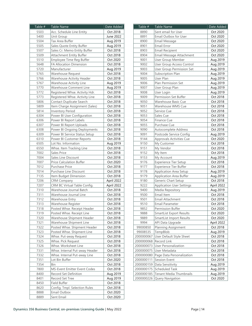| Table #      | <b>Table Name</b>                                       | Date Added |
|--------------|---------------------------------------------------------|------------|
| 5503         | Acc. Schedule Line Entity                               | Oct 2018   |
| 5400         | Unit Group                                              | June 2022  |
| 5504         | Tax Area Buffer                                         | Aug 2019   |
| 5505         | Sales Quote Entity Buffer                               | Aug 2019   |
| 5507         | Sales Cr. Memo Entity Buffer                            | Oct 2018   |
| 5509         | Attachment Entity Buffer                                | Oct 2018   |
| 5510         | Employee Time Reg Buffer                                | Oct 2020   |
| 5648         | FA Allocation Dimension                                 | Oct 2018   |
| 5720         | Manufacturer                                            | Aug 2019   |
| 5765         | Warehouse Request                                       | Oct 2018   |
| 5766         | Warehouse Activity Header                               | Oct 2018   |
| 5767         | Warehouse Activity Line                                 | Aug 2019   |
| 5770         | Warehouse Comment Line                                  | Aug 2019   |
| 5772         | Registered Whse. Activity Hdr.                          | Oct 2018   |
| 5773         | Registered Whse. Activity Line                          | Oct 2018   |
| 5806         | Contact Duplicate Search                                | Oct 2018   |
| 5809         | Item Charge Assignment (Sales)                          | Oct 2018   |
| 5814         | <b>Inventory Period</b>                                 | Oct 2018   |
| 6304         | Power BI User Configuration                             | Oct 2018   |
| 6306         | Power BI Report Labels                                  | Oct 2018   |
| 6307         | Power BI Report Uploads                                 | Oct 2018   |
| 6308         | Power BI Ongoing Deployments                            | Oct 2018   |
| 6309         | Power BI Service Status Setup                           | Oct 2018   |
| 6310         | Power BI Customer Reports                               | Oct 2018   |
| 6505         | Lot No. Information                                     | Aug 2019   |
| 6550         | Whse. Item Tracking Line                                | Oct 2018   |
| 7002         | <b>Sales Price</b>                                      | Oct 2018   |
| 7004         | Sales Line Discount                                     | Oct 2018   |
| 7007         | <b>Price Calculation Buffer</b>                         | Oct 2020   |
| 7012         | Purchase Price                                          | Oct 2018   |
| 7014         | Purchase Line Discount                                  | Oct 2018   |
|              |                                                         | Oct 2018   |
| 7135<br>7206 | Item Budget Dimension                                   |            |
|              | <b>CRM Company</b>                                      | April 2022 |
| 7207         | CRM BC Virtual Table Config.<br>Warehouse Journal Batch | April 2022 |
| 7310         |                                                         | Oct 2018   |
| 7311         | Warehouse Journal Line                                  | Oct 2018   |
| 7312         | Warehouse Entry                                         | Oct 2018   |
| 7313         | Warehouse Register                                      | Oct 2018   |
| 7318         | Posted Whse. Receipt Header                             | Oct 2018   |
| 7319         | Posted Whse. Receipt Line                               | Oct 2018   |
| 7320         | Warehouse Shipment Header                               | Oct 2018   |
| 7321         | Warehouse Shipment Line                                 | Oct 2018   |
| 7322         | Posted Whse. Shipment Header                            | Oct 2018   |
| 7323         | Posted Whse. Shipment Line                              | Oct 2018   |
| 7324         | Whse. Put-away Request                                  | Oct 2018   |
| 7325         | Whse. Pick Request                                      | Oct 2018   |
| 7326         | Whse. Worksheet Line                                    | Oct 2018   |
| 7331         | Whse. Internal Put-away Header                          | Oct 2018   |
| 7332         | Whse. Internal Put-away Line                            | Oct 2018   |
| 7351         | Lot Bin Buffer                                          | Oct 2020   |
| 7354         | Bin                                                     | Oct 2018   |
| 7800         | MS-Event Emitter Event Codes                            | Oct 2018   |
| 8400         | Record Set Definition                                   | Aug 2019   |
| 8401         | Record Set Tree                                         | Aug 2019   |
| 8450         | Field Buffer                                            | Oct 2018   |
| 8620         | Config. Tmpl. Selection Rules                           | Oct 2018   |
| 8888         | Email Outbox                                            | Oct 2020   |
| 8889         | Sent Email                                              | Oct 2020   |
|              |                                                         |            |

| Table #    | Table Name                       | Date Added |
|------------|----------------------------------|------------|
| 8890       | Sent email for User              | Oct 2020   |
| 8891       | Email Outbox for User            | Oct 2020   |
| 8900       | Email Message                    | Oct 2020   |
| 8901       | Email Error                      | Oct 2020   |
| 8903       | <b>Email Recipient</b>           | Oct 2020   |
| 8904       | Email Message Attachment         | Oct 2020   |
| 9001       | User Group Member                | Aug 2019   |
| 9002       | User Group Access Control        | Aug 2019   |
| 9003       | <b>User Group Permission Set</b> | Aug 2019   |
| 9004       | Subscription Plan                | Aug 2019   |
| 9005       | User Plan                        | Aug 2019   |
| 9006       | Plan Permission Set              | Aug 2019   |
| 9007       | User Group Plan                  | Aug 2019   |
| 9008       | User Login                       | Aug 2019   |
| 9009       | Permission Set Buffer            | Oct 2018   |
| 9050       | Warehouse Basic Cue              | Oct 2018   |
| 9051       | Warehouse WMS Cue                | Oct 2018   |
| 9052       | Service Cue                      | Oct 2018   |
| 9053       | Sales Cue                        | Oct 2018   |
| 9054       | Finance Cue                      | Oct 2018   |
| 9055       | Purchase Cue                     | Oct 2018   |
| 9090       | Autocomplete Address             | Oct 2018   |
| 9091       | Postcode Service Config          | Aug 2019   |
| 9144       | Approvals Activities Cue         | Oct 2020   |
| 9150       | My Customer                      | Oct 2018   |
| 9151       | My Vendor                        | Oct 2018   |
| 9152       | My Item                          | Oct 2018   |
| 9153       | My Account                       | Aug 2019   |
| 9176       | Experience Tier Setup            | Oct 2018   |
| 9177       | Experience Tier Buffer           | Oct 2018   |
| 9178       | <b>Application Area Setup</b>    | Aug 2019   |
| 9179       | <b>Application Area Buffer</b>   | Aug 2019   |
| 9180       | Generic Chart Setup              | Oct 2018   |
| 9222       | <b>Application User Settings</b> | April 2022 |
| 9400       | Media Repository                 | Aug 2019   |
| 9500       | Email Item                       | Oct 2018   |
| 9501       | Email Attachment                 | Oct 2018   |
| 9510       | Email Parameter                  | Oct 2018   |
| 9852       | Permission Buffer                | Oct 2020   |
| 9888       | <b>SmartList Export Results</b>  | Oct 2020   |
| 9889       | <b>SmartList Import Results</b>  | Oct 2020   |
| 9994       | API Data Upgrade                 | April 2022 |
| 99000850   | <b>Planning Assignment</b>       | Oct 2018   |
| 99008535   | TempBlob                         | Aug 2019   |
| 2000000067 | User Default Style Sheet         | Oct 2018   |
| 2000000068 | Record Link                      | Oct 2018   |
| 2000000073 | <b>User Personalization</b>      | Oct 2018   |
| 2000000075 | User Metadata                    | Oct 2018   |
| 2000000080 | Page Data Personalization        | Oct 2018   |
| 2000000111 | Session Event                    | Oct 2018   |
| 2000000159 | Data Sensitivity                 | Aug 2019   |
| 2000000175 | Scheduled Task                   | Aug 2019   |
| 2000000185 | Tenant Media Thumbnails          | Aug 2019   |
| 2000000226 | Query Navigation                 | Oct 2020   |
|            |                                  |            |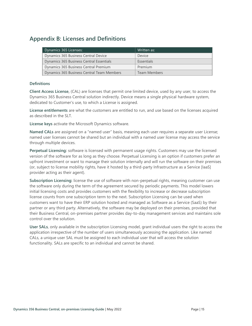### <span id="page-17-0"></span>**Appendix B: Licenses and Definitions**

| Dynamics 365 Licenses:                     | Written as:         |
|--------------------------------------------|---------------------|
| Dynamics 365 Business Central Device       | Device              |
| Dynamics 365 Business Central Essentials   | Essentials          |
| Dynamics 365 Business Central Premium      | Premium             |
| Dynamics 365 Business Central Team Members | <b>Team Members</b> |

#### **Definitions**

<span id="page-17-1"></span>**Client Access License,** (CAL) are licenses that permit one limited device, used by any user, to access the Dynamics 365 Business Central solution indirectly. Device means a single physical hardware system, dedicated to Customer's use, to which a License is assigned.

**License entitlements** are what the customers are entitled to run, and use based on the licenses acquired as described in the SLT.

**License keys** activate the Microsoft Dynamics software.

**Named CALs** are assigned on a "named user" basis, meaning each user requires a separate user License; named user licenses cannot be shared but an individual with a named user license may access the service through multiple devices.

**Perpetual Licensing:** software is licensed with permanent usage rights. Customers may use the licensed version of the software for as long as they choose. Perpetual Licensing is an option if customers prefer an upfront investment or want to manage their solution internally and will run the software on their premises (or, subject to license mobility rights, have it hosted by a third-party Infrastructure as a Service [IaaS] provider acting as their agent).

**Subscription Licensing:** license the use of software with non-perpetual rights, meaning customer can use the software only during the term of the agreement secured by periodic payments. This model lowers initial licensing costs and provides customers with the flexibility to increase or decrease subscription license counts from one subscription term to the next. Subscription Licensing can be used when customers want to have their ERP solution hosted and managed as Software as a Service (SaaS) by their partner or any third party. Alternatively, the software may be deployed on their premises, provided that their Business Central, on-premises partner provides day-to-day management services and maintains sole control over the solution.

<span id="page-17-2"></span>**User SALs**, only available in the subscription Licensing model, grant individual users the right to access the application irrespective of the number of users simultaneously accessing the application. Like named CALs, a unique user SAL must be assigned to each individual user that will access the solution functionality. SALs are specific to an individual and cannot be shared.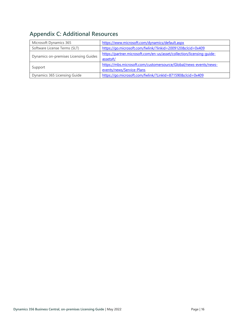# <span id="page-18-0"></span>**Appendix C: Additional Resources**

| Microsoft Dynamics 365                | https://www.microsoft.com/dynamics/default.aspx                                                |
|---------------------------------------|------------------------------------------------------------------------------------------------|
| Software License Terms (SLT)          | https://go.microsoft.com/fwlink/?linkid=2009120&clcid=0x409                                    |
| Dynamics on-premises Licensing Guides | https://partner.microsoft.com/en-us/asset/collection/licensing-quide-<br>assets#/              |
| Support                               | https://mbs.microsoft.com/customersource/Global/news-events/news-<br>events/news/Service-Plans |
| Dynamics 365 Licensing Guide          | https://go.microsoft.com/fwlink/?LinkId=871590&clcid=0x409                                     |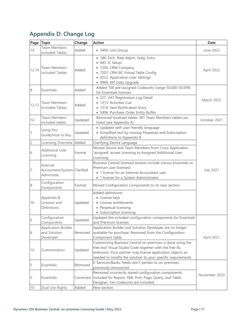# <span id="page-19-0"></span>**Appendix D: Change Log**

|                | Page Topic                                              | Change    | <b>Action</b>                                                                                                                                                                                                                                     | Date              |
|----------------|---------------------------------------------------------|-----------|---------------------------------------------------------------------------------------------------------------------------------------------------------------------------------------------------------------------------------------------------|-------------------|
| 14             | <b>Team Members</b><br><b>Included Tables</b>           | Added     | • 5400: Unit Group                                                                                                                                                                                                                                | June 2022         |
| 12,14          | Team Members<br><b>Included Tables</b>                  | Added     | · 186: Exch. Rate Adjmt. Ledg. Entry<br>• 443: IC Setup<br>• 7206: CRM Company<br>· 7207: CRM BC Virtual Table Config.<br>• 9222: Application User Settings<br>· 9994: API Data Upgrade                                                           | April 2022        |
| 8              | Essentials                                              | Added     | Added 100 pre-assigned Codeunits (range 50.000-50.099)<br>for Essentials licenses                                                                                                                                                                 |                   |
| 12, 13         | <b>Team Members</b><br><b>Included Tables</b>           | Added     | • 227: VAT Registration Log Detail<br>• 1313: Activities Cue<br>• 1514: Sent Notification Entry<br>• 5496: Purchase Order Entity Buffer                                                                                                           | <b>March 2022</b> |
| 14             | <b>Team Members</b><br>included tables                  | Updated   | Removed localized tables. W1 Team Members tables are<br>listed (see Appendix A).                                                                                                                                                                  | October 2021      |
| $\vert$ 1      | Using this<br>Guide/How to Buy                          | Updated   | • Updated with user friendly language<br>• Simplified text by moving Perpetual and Subscription<br>definitions to Appendix B                                                                                                                      |                   |
| $\overline{c}$ | Licensing Overview                                      | Added     | Clarifying Device Language                                                                                                                                                                                                                        |                   |
| 6              | <b>Additional User</b><br>Licensing                     | Format    | Moved Device and Team Members from Cross Application<br>assigned' access licensing to Assigned Additional User<br>Licensing                                                                                                                       |                   |
| 7              | External<br>Accountant/System Clarified<br>Administer   |           | Business Central licensed tenants include (versus Essentials or<br>Premium user licenses):<br>• 1 license for an External Accountant user<br>• 1 license for a System Administrator                                                               | <b>July 2021</b>  |
| 8              | Configuration<br>Components                             | Format    | Moved Configuration Components to its own section                                                                                                                                                                                                 |                   |
| 16             | Appendix B:<br>Licenses and<br>Definitions              | Updated   | Added definitions:<br>• License keys<br>• License entitlements<br>• Perpetual licensing<br>• Subscription licensing                                                                                                                               |                   |
| 6              | Configuration<br>Components                             | Updated   | Updated the included configuration components for Essentials<br>and Premium licenses.                                                                                                                                                             |                   |
| 6              | <b>Application Builder</b><br>and Solution<br>Developer | Removed   | Application Builder and Solution Developer are no longer<br>available for purchase. Removed from the Configuration<br>Component table                                                                                                             | April 2021        |
| 10             | Customization                                           | Updated   | Customizing Business Central on-premises is done using the<br>free tool Visual Studio Code together with the free AL<br>extension. Your partner may license application objects as<br>needed to modify the solution to your specific requirements |                   |
| 5              | Essentials                                              | Removed   | E-Services/Banks Feeds don't pertain to on-premises -<br>previously announced                                                                                                                                                                     |                   |
| 5              | Essentials                                              | Corrected | Removed incorrectly stated configuration components<br>included for Report, XML Port, Page, Query, and Table<br>Designer. Ten Codeunits are included.                                                                                             | November 2020     |
| 10             | Dual Use Rights                                         | Added     | New section                                                                                                                                                                                                                                       |                   |